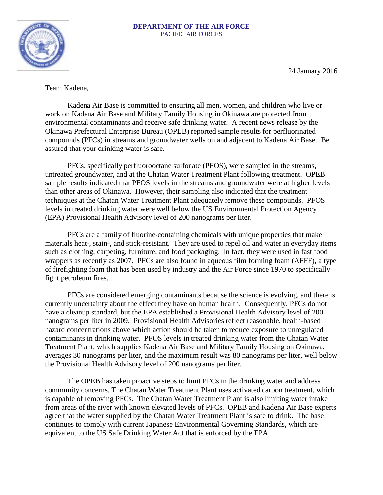## **DEPARTMENT OF THE AIR FORCE** PACIFIC AIR FORCES



24 January 2016

Team Kadena,

Kadena Air Base is committed to ensuring all men, women, and children who live or work on Kadena Air Base and Military Family Housing in Okinawa are protected from environmental contaminants and receive safe drinking water. A recent news release by the Okinawa Prefectural Enterprise Bureau (OPEB) reported sample results for perfluorinated compounds (PFCs) in streams and groundwater wells on and adjacent to Kadena Air Base. Be assured that your drinking water is safe.

PFCs, specifically perfluorooctane sulfonate (PFOS), were sampled in the streams, untreated groundwater, and at the Chatan Water Treatment Plant following treatment. OPEB sample results indicated that PFOS levels in the streams and groundwater were at higher levels than other areas of Okinawa. However, their sampling also indicated that the treatment techniques at the Chatan Water Treatment Plant adequately remove these compounds. PFOS levels in treated drinking water were well below the US Environmental Protection Agency (EPA) Provisional Health Advisory level of 200 nanograms per liter.

PFCs are a family of fluorine-containing chemicals with unique properties that make materials heat-, stain-, and stick-resistant. They are used to repel oil and water in everyday items such as clothing, carpeting, furniture, and food packaging. In fact, they were used in fast food wrappers as recently as 2007. PFCs are also found in aqueous film forming foam (AFFF), a type of firefighting foam that has been used by industry and the Air Force since 1970 to specifically fight petroleum fires.

PFCs are considered emerging contaminants because the science is evolving, and there is currently uncertainty about the effect they have on human health. Consequently, PFCs do not have a cleanup standard, but the EPA established a Provisional Health Advisory level of 200 nanograms per liter in 2009. Provisional Health Advisories reflect reasonable, health-based hazard concentrations above which action should be taken to reduce exposure to unregulated contaminants in drinking water. PFOS levels in treated drinking water from the Chatan Water Treatment Plant, which supplies Kadena Air Base and Military Family Housing on Okinawa, averages 30 nanograms per liter, and the maximum result was 80 nanograms per liter, well below the Provisional Health Advisory level of 200 nanograms per liter.

The OPEB has taken proactive steps to limit PFCs in the drinking water and address community concerns. The Chatan Water Treatment Plant uses activated carbon treatment, which is capable of removing PFCs. The Chatan Water Treatment Plant is also limiting water intake from areas of the river with known elevated levels of PFCs. OPEB and Kadena Air Base experts agree that the water supplied by the Chatan Water Treatment Plant is safe to drink. The base continues to comply with current Japanese Environmental Governing Standards, which are equivalent to the US Safe Drinking Water Act that is enforced by the EPA.